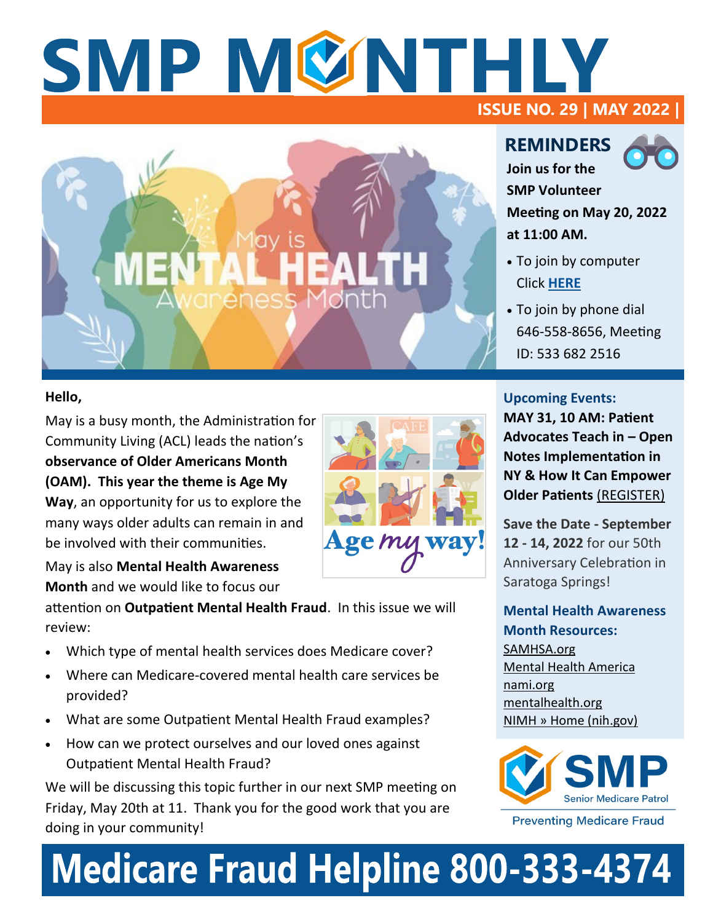## SMP MØNTHLY **ISSUE NO. 29 | MAY 2022 |**



#### **Hello,**

May is a busy month, the Administration for Community Living (ACL) leads the nation's **observance of Older Americans Month (OAM). This year the theme is Age My Way**, an opportunity for us to explore the many ways older adults can remain in and be involved with their communities.

May is also **Mental Health Awareness Month** and we would like to focus our

attention on **Outpatient Mental Health Fraud**. In this issue we will review:

- Which type of mental health services does Medicare cover?
- Where can Medicare-covered mental health care services be provided?
- What are some Outpatient Mental Health Fraud examples?
- How can we protect ourselves and our loved ones against Outpatient Mental Health Fraud?

We will be discussing this topic further in our next SMP meeting on Friday, May 20th at 11. Thank you for the good work that you are doing in your community!

# Age my way!

**REMINDERS Join us for the** 

**SMP Volunteer Meeting on May 20, 2022 at 11:00 AM.** 

- To join by computer Click **[HERE](https://us02web.zoom.us/j/5336822516)**
- To join by phone dial 646-558-8656, Meeting ID: 533 682 2516

#### **Upcoming Events:**

**[MAY 31, 10 AM: Patient](https://www.nysenior.org/patients-rights-webinar-teach-in-may-31-2022/)  [Advocates Teach in –](https://www.nysenior.org/patients-rights-webinar-teach-in-may-31-2022/) Open [Notes Implementation in](https://www.nysenior.org/patients-rights-webinar-teach-in-may-31-2022/)  [NY & How It Can Empower](https://www.nysenior.org/patients-rights-webinar-teach-in-may-31-2022/)  [Older Patients](https://www.nysenior.org/patients-rights-webinar-teach-in-may-31-2022/)** (REGISTER)

**Save the Date - September 12 - 14, 2022** for our 50th Anniversary Celebration in Saratoga Springs!

**Mental Health Awareness Month Resources:**  [SAMHSA.org](https://www.samhsa.gov/)  [Mental Health America](https://www.mhanational.org/) [nami.org](http://www.nami.org/Get-Involved/Raise-Awareness/Awareness-Events/Mental-Health-Month) [mentalhealth.org](https://www.mentalhealth.gov/) [NIMH » Home \(nih.gov\)](https://www.nimh.nih.gov/)



**Preventing Medicare Fraud** 

# **Medicare Fraud Helpline 800-333-4374**